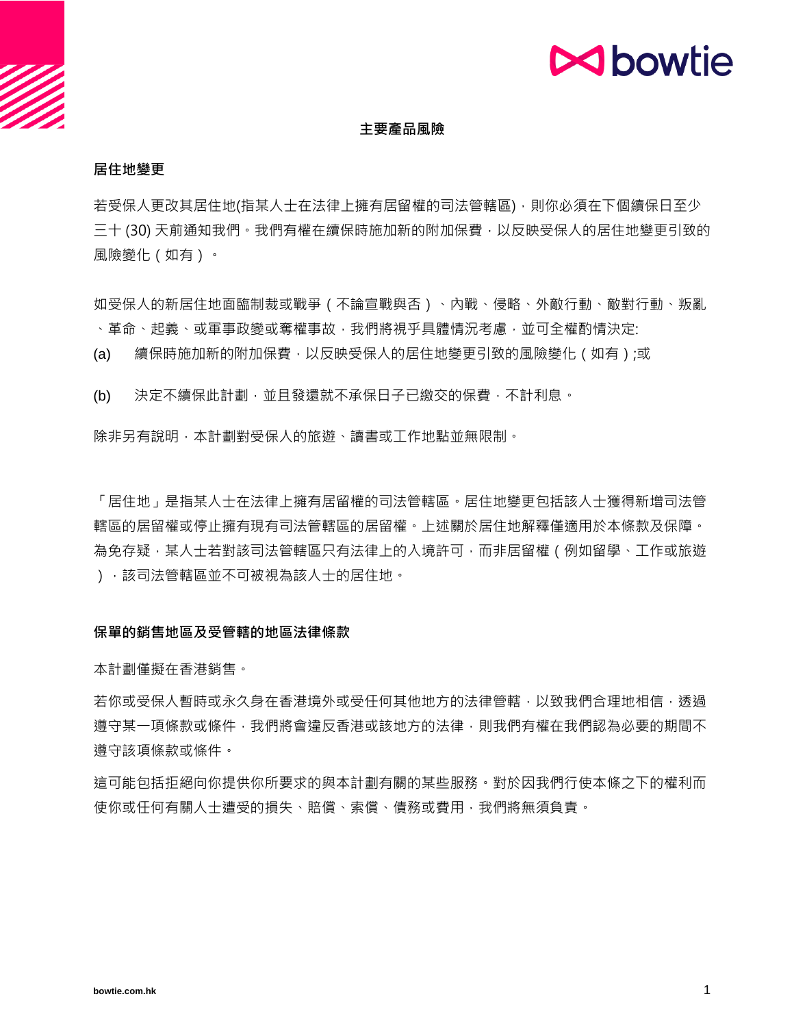# **M**bowtie

## **主要產品風險**

#### **居住地變更**

若受保人更改其居住地(指某人士在法律上擁有居留權的司法管轄區),則你必須在下個續保日至少 三十 (30) 天前通知我們。我們有權在續保時施加新的附加保費,以反映受保人的居住地變更引致的 風險變化(如有)。

如受保人的新居住地面臨制裁或戰爭(不論宣戰與否)、內戰、侵略、外敵行動、敵對行動、叛亂 、革命、起義、或軍事政變或奪權事故,我們將視平具體情況考慮,並可全權酌情決定:

(a) 續保時施加新的附加保費 · 以反映受保人的居住地變更引致的風險變化(如有);或

(b) 決定不續保此計劃,並且發還就不承保日子已繳交的保費,不計利息。

除非另有說明,本計劃對受保人的旅遊、讀書或工作地點並無限制。

「居住地」是指某人士在法律上擁有居留權的司法管轄區。居住地變更包括該人士獲得新增司法管 轄區的居留權或停止擁有現有司法管轄區的居留權。上述關於居住地解釋僅適用於本條款及保障。 為免存疑,某人士若對該司法管轄區只有法律上的入境許可,而非居留權(例如留學、工作或旅遊 ),該司法管轄區並不可被視為該人士的居住地。

#### **保單的銷售地區及受管轄的地區法律條款**

本計劃僅擬在香港銷售。

若你或受保人暫時或永久身在香港境外或受任何其他地方的法律管轄,以致我們合理地相信,透過 遵守某一項條款或條件,我們將會違反香港或該地方的法律,則我們有權在我們認為必要的期間不 遵守該項條款或條件。

這可能包括拒絕向你提供你所要求的與本計劃有關的某些服務。對於因我們行使本條之下的權利而 使你或任何有關人士遭受的損失、賠償、索償、債務或費用,我們將無須負責。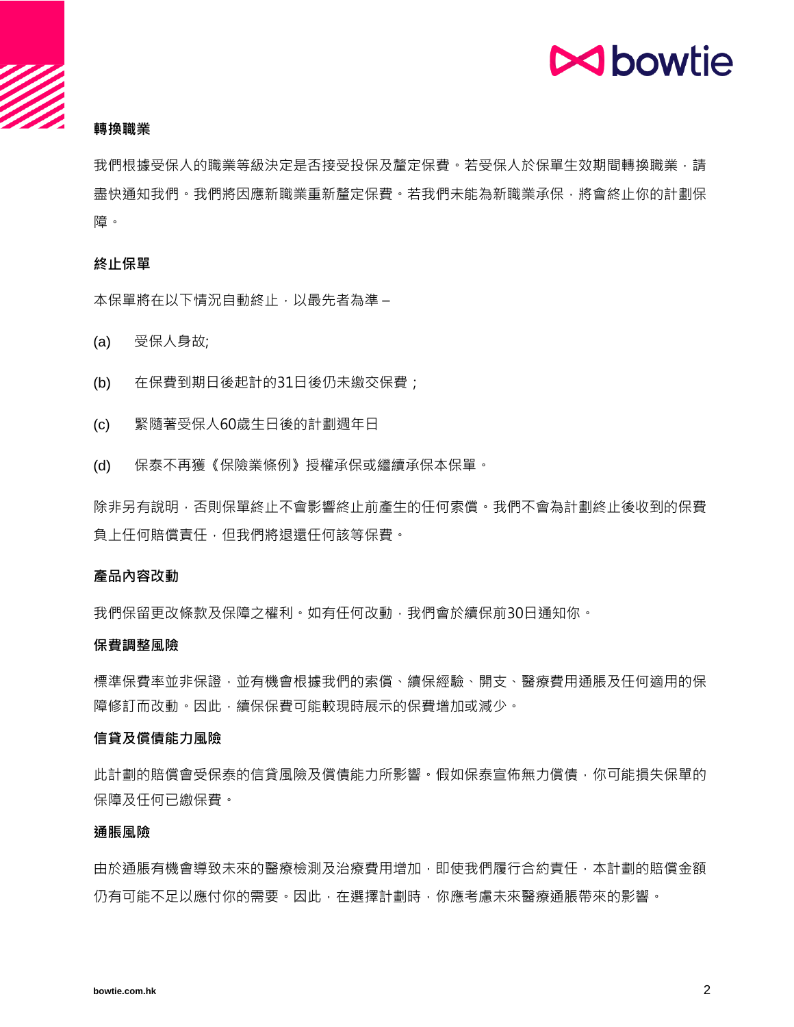## **N**bowtie

## **轉換職業**

我們根據受保人的職業等級決定是否接受投保及釐定保費。若受保人於保單生效期間轉換職業,請 盡快通知我們。我們將因應新職業重新釐定保費。若我們未能為新職業承保,將會終止你的計劃保 障。

#### **終止保單**

本保單將在以下情況自動終止,以最先者為準 –

- (a) 受保人身故;
- (b) 在保費到期日後起計的31日後仍未繳交保費;
- (c) 緊隨著受保人60歲生日後的計劃週年日
- (d) 保泰不再獲《保險業條例》授權承保或繼續承保本保單。

除非另有說明,否則保單終止不會影響終止前產生的任何索償。我們不會為計劃終止後收到的保費 負上任何賠償責任,但我們將退還任何該等保費。

#### **產品內容改動**

我們保留更改條款及保障之權利。如有任何改動,我們會於續保前30日通知你。

#### **保費調整風險**

標準保費率並非保證,並有機會根據我們的索償、續保經驗、開支、醫療費用通脹及任何適用的保 障修訂而改動。因此,續保保費可能較現時展示的保費增加或減少。

#### **信貸及償債能力風險**

此計劃的賠償會受保泰的信貸風險及償債能力所影響。假如保泰宣佈無力償債,你可能損失保單的 保障及任何已繳保費。

#### **通脹風險**

由於通脹有機會導致未來的醫療檢測及治療費用增加,即使我們履行合約責任,本計劃的賠償金額 仍有可能不足以應付你的需要。因此,在選擇計劃時,你應考慮未來醫療通脹帶來的影響。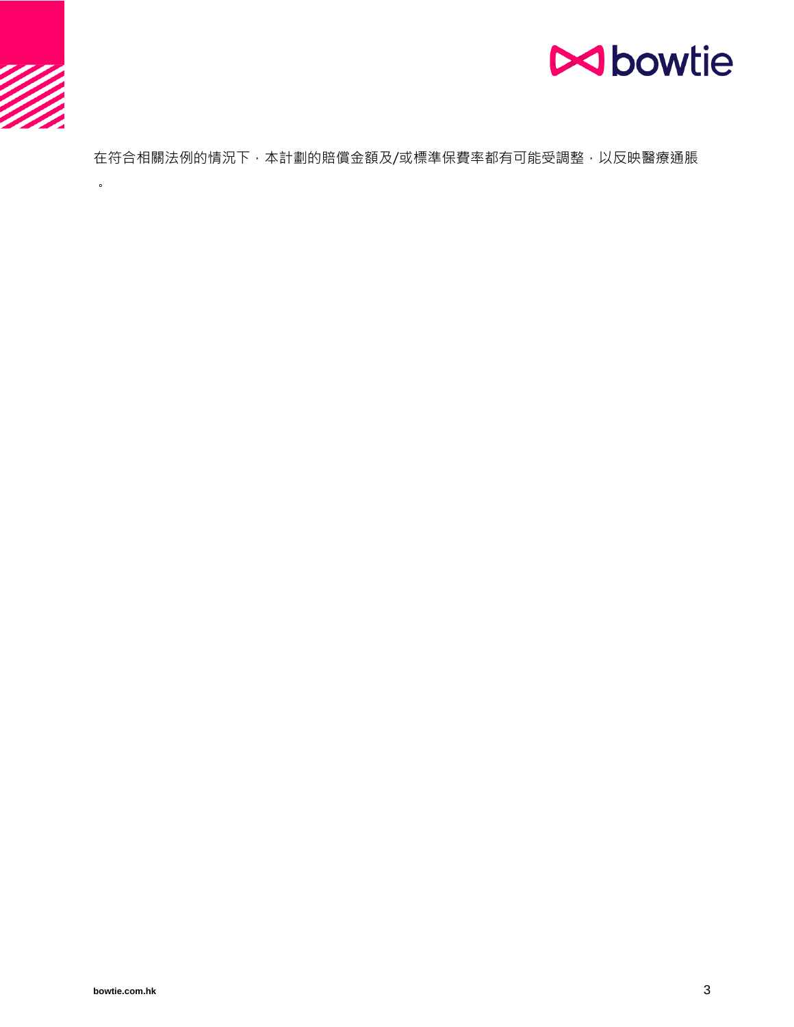

 $\ddot{\phantom{0}}$ 



在符合相關法例的情況下,本計劃的賠償金額及/或標準保費率都有可能受調整,以反映醫療通脹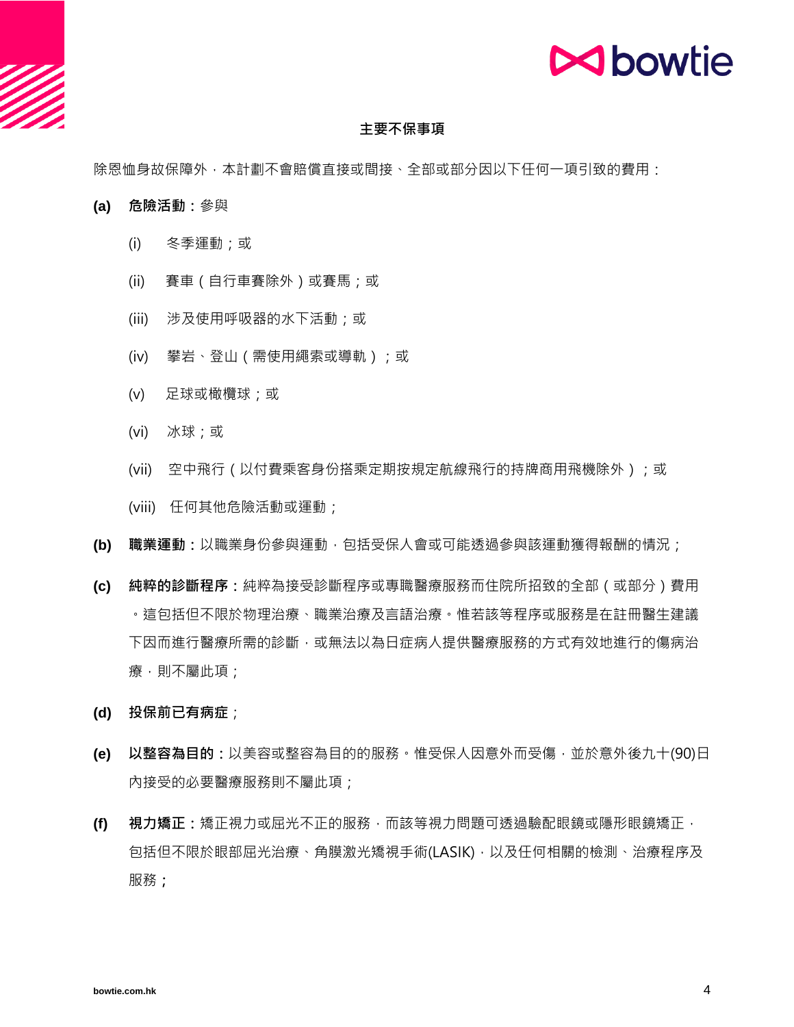

#### **主要不保事項**

除恩恤身故保障外,本計劃不會賠償直接或間接、全部或部分因以下任何一項引致的費用:

- **(a) 危險活動:**參與
	- (i) 冬季運動;或
	- (ii) 賽車(自行車賽除外)或賽馬;或
	- (iii) 涉及使用呼吸器的水下活動;或
	- (iv) 攀岩、登山(需使用繩索或導軌);或
	- (v) 足球或橄欖球;或
	- (vi) 冰球;或
	- (vii) 空中飛行(以付費乘客身份搭乘定期按規定航線飛行的持牌商用飛機除外);或

(viii) 任何其他危險活動或運動;

- **(b) 職業運動:**以職業身份參與運動,包括受保人會或可能透過參與該運動獲得報酬的情況;
- **(c) 純粹的診斷程序:**純粹為接受診斷程序或專職醫療服務而住院所招致的全部(或部分)費用 。這包括但不限於物理治療、職業治療及言語治療。惟若該等程序或服務是在註冊醫生建議 下因而進行醫療所需的診斷,或無法以為日症病人提供醫療服務的方式有效地進行的傷病治 療,則不屬此項;
- **(d) 投保前已有病症**;
- **(e) 以整容為目的:**以美容或整容為目的的服務。惟受保人因意外而受傷,並於意外後九十(90)日 內接受的必要醫療服務則不屬此項;
- **(f) 視力矯正:**矯正視力或屈光不正的服務,而該等視力問題可透過驗配眼鏡或隱形眼鏡矯正, 包括但不限於眼部屈光治療、角膜激光矯視手術(LASIK),以及任何相關的檢測、治療程序及 服務**;**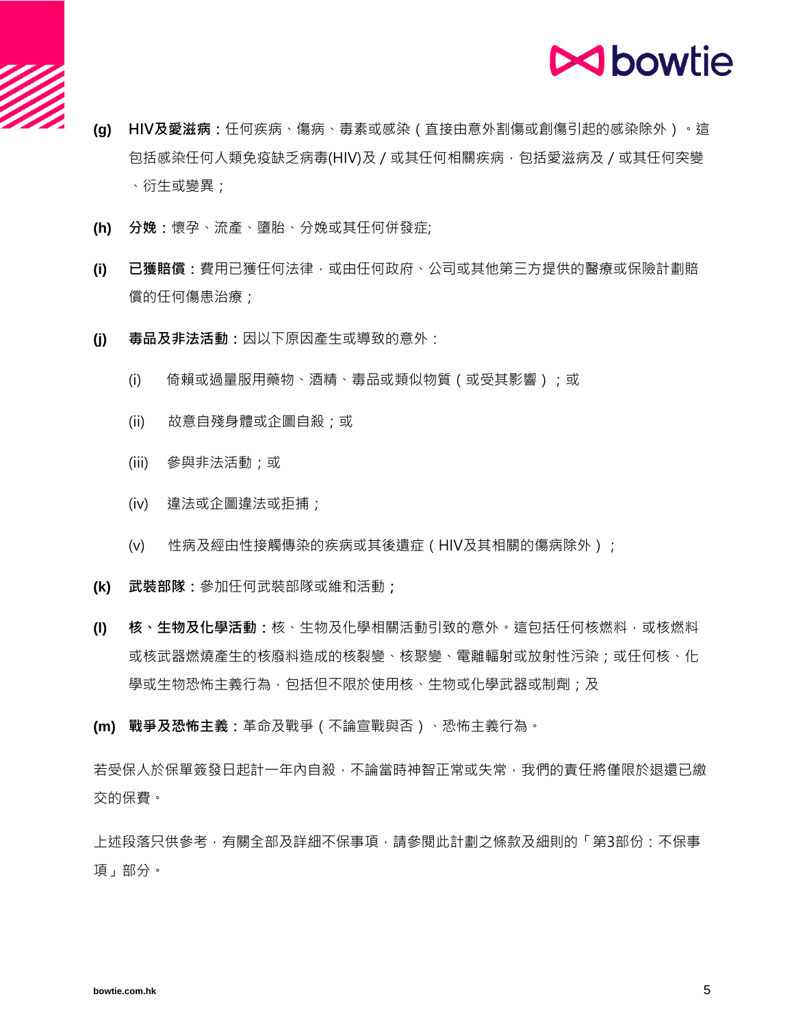

- **(g) HIV及愛滋病:**任何疾病、傷病、毒素或感染(直接由意外割傷或創傷引起的感染除外)。這 包括感染任何人類免疫缺乏病毒(HIV)及 / 或其任何相關疾病 · 包括愛滋病及 / 或其任何突變 、衍生或變異;
- **(h) 分娩:**懷孕、流產、墮胎、分娩或其任何併發症;
- **(i) 已獲賠償:**費用已獲任何法律,或由任何政府、公司或其他第三方提供的醫療或保險計劃賠 償的任何傷患治療;
- **(j) 毒品及非法活動:**因以下原因產生或導致的意外:
	- (i) 倚賴或過量服用藥物、酒精、毒品或類似物質 ( 或受其影響 ) ; 或
	- (ii) 故意自殘身體或企圖自殺;或
	- (iii) 參與非法活動;或
	- (iv) 違法或企圖違法或拒捕;
	- (v) 性病及經由性接觸傳染的疾病或其後遺症(HIV及其相關的傷病除外);
- **(k) 武裝部隊:**參加任何武裝部隊或維和活動**;**
- **(l) 核、生物及化學活動:**核、生物及化學相關活動引致的意外。這包括任何核燃料,或核燃料 或核武器燃燒產生的核廢料造成的核裂變、核聚變、電離輻射或放射性污染;或任何核、化 學或生物恐怖主義行為﹐包括但不限於使用核﹑生物或化學武器或制劑;及
- **(m) 戰爭及恐怖主義:**革命及戰爭(不論宣戰與否)、恐怖主義行為。

若受保人於保單簽發日起計一年內自殺,不論當時神智正常或失常,我們的責任將僅限於狠還已繳 交的保費。

上述段落只供參考,有關全部及詳細不保事項,請參閱此計劃之條款及細則的「第3部份:不保事 項」部分。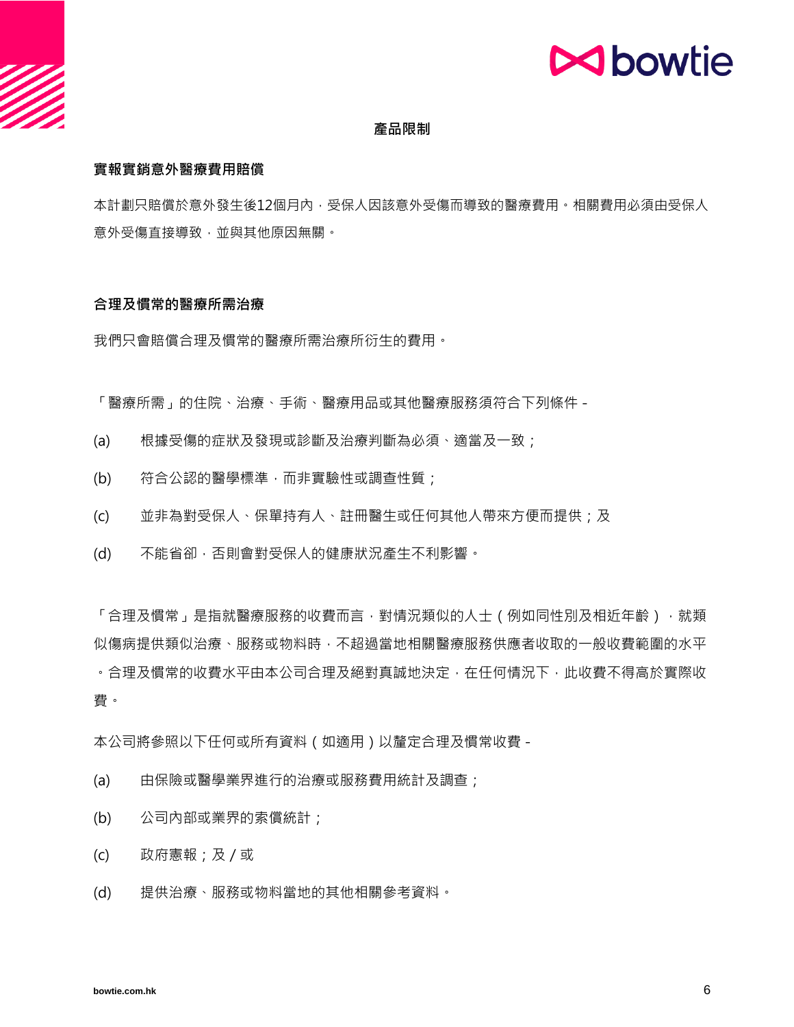# **N**bowtie

## **產品限制**

## **實報實銷意外醫療費用賠償**

本計劃只賠償於意外發生後12個月內,受保人因該意外受傷而導致的醫療費用。相關費用必須由受保人 意外受傷直接導致,並與其他原因無關。

#### **合理及慣常的醫療所需治療**

我們只會賠償合理及慣常的醫療所需治療所衍生的費用。

「醫療所需」的住院、治療、手術、醫療用品或其他醫療服務須符合下列條件 -

- (a) 根據受傷的症狀及發現或診斷及治療判斷為必須、適當及一致;
- (b) 符合公認的醫學標準,而非實驗性或調查性質;
- (c) 並非為對受保人、保單持有人、註冊醫生或任何其他人帶來方便而提供;及
- (d) 不能省卻,否則會對受保人的健康狀況產生不利影響。

「合理及慣常」是指就醫療服務的收費而言,對情況類似的人士(例如同性別及相近年齡),就類 似傷病提供類似治療、服務或物料時,不超過當地相關醫療服務供應者收取的一般收費範圍的水平 。合理及慣常的收費水平由本公司合理及絕對真誠地決定,在任何情況下,此收費不得高於實際收 費。

本公司將參照以下任何或所有資料(如適用)以釐定合理及慣常收費 -

- (a) 由保險或醫學業界進行的治療或服務費用統計及調查;
- (b) 公司內部或業界的索償統計;
- (c) 政府憲報;及/或
- (d) 提供治療、服務或物料當地的其他相關參考資料。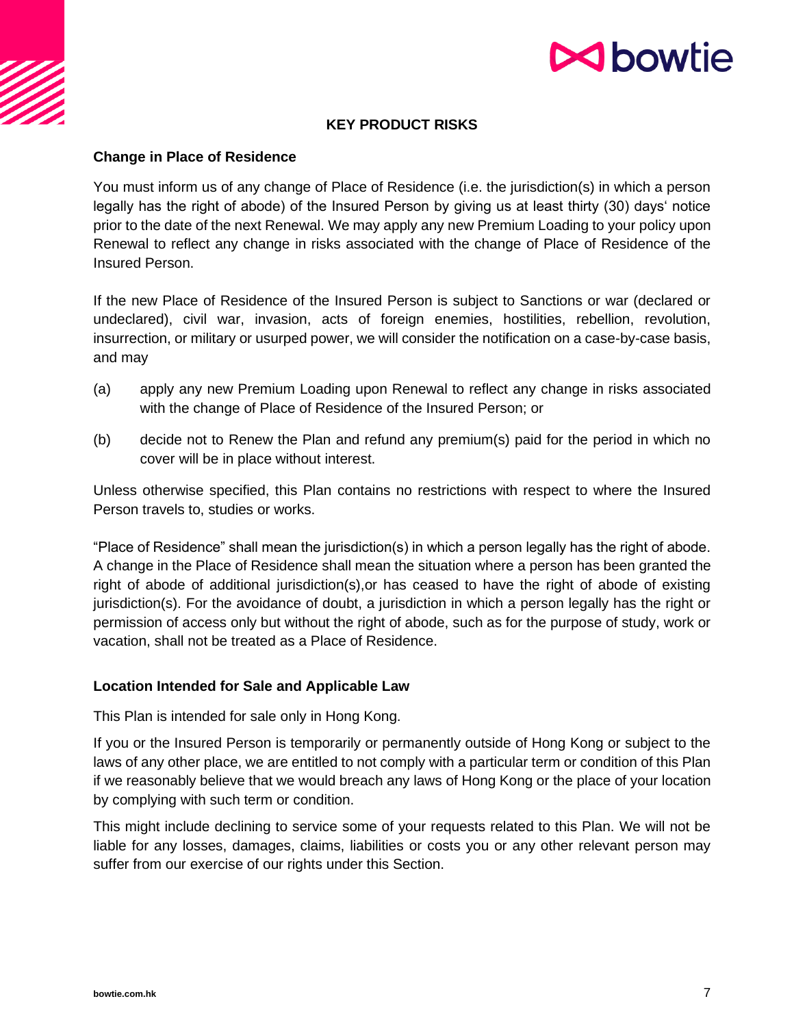

# **N**bowtie

## **KEY PRODUCT RISKS**

## **Change in Place of Residence**

You must inform us of any change of Place of Residence (i.e. the jurisdiction(s) in which a person legally has the right of abode) of the Insured Person by giving us at least thirty (30) days' notice prior to the date of the next Renewal. We may apply any new Premium Loading to your policy upon Renewal to reflect any change in risks associated with the change of Place of Residence of the Insured Person.

If the new Place of Residence of the Insured Person is subject to Sanctions or war (declared or undeclared), civil war, invasion, acts of foreign enemies, hostilities, rebellion, revolution, insurrection, or military or usurped power, we will consider the notification on a case-by-case basis, and may

- (a) apply any new Premium Loading upon Renewal to reflect any change in risks associated with the change of Place of Residence of the Insured Person; or
- (b) decide not to Renew the Plan and refund any premium(s) paid for the period in which no cover will be in place without interest.

Unless otherwise specified, this Plan contains no restrictions with respect to where the Insured Person travels to, studies or works.

"Place of Residence" shall mean the jurisdiction(s) in which a person legally has the right of abode. A change in the Place of Residence shall mean the situation where a person has been granted the right of abode of additional jurisdiction(s),or has ceased to have the right of abode of existing jurisdiction(s). For the avoidance of doubt, a jurisdiction in which a person legally has the right or permission of access only but without the right of abode, such as for the purpose of study, work or vacation, shall not be treated as a Place of Residence.

## **Location Intended for Sale and Applicable Law**

This Plan is intended for sale only in Hong Kong.

If you or the Insured Person is temporarily or permanently outside of Hong Kong or subject to the laws of any other place, we are entitled to not comply with a particular term or condition of this Plan if we reasonably believe that we would breach any laws of Hong Kong or the place of your location by complying with such term or condition.

This might include declining to service some of your requests related to this Plan. We will not be liable for any losses, damages, claims, liabilities or costs you or any other relevant person may suffer from our exercise of our rights under this Section.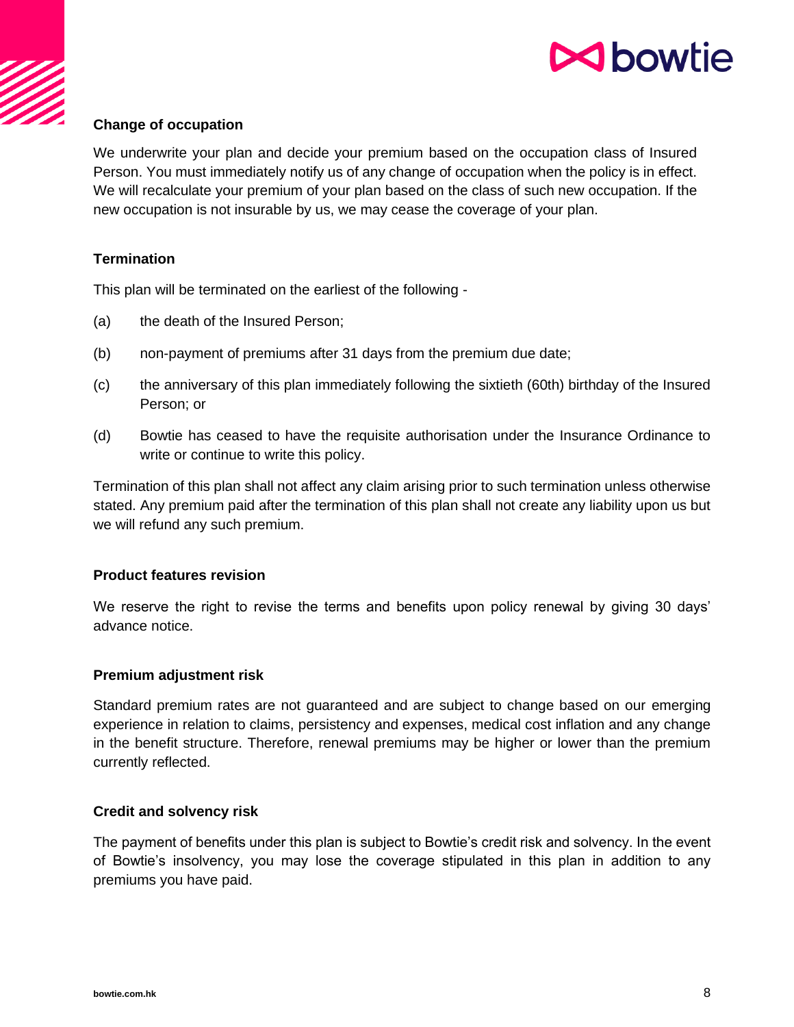

## **Change of occupation**

We underwrite your plan and decide your premium based on the occupation class of Insured Person. You must immediately notify us of any change of occupation when the policy is in effect. We will recalculate your premium of your plan based on the class of such new occupation. If the new occupation is not insurable by us, we may cease the coverage of your plan.

## **Termination**

This plan will be terminated on the earliest of the following -

- (a) the death of the Insured Person;
- (b) non-payment of premiums after 31 days from the premium due date;
- (c) the anniversary of this plan immediately following the sixtieth (60th) birthday of the Insured Person; or
- (d) Bowtie has ceased to have the requisite authorisation under the Insurance Ordinance to write or continue to write this policy.

Termination of this plan shall not affect any claim arising prior to such termination unless otherwise stated. Any premium paid after the termination of this plan shall not create any liability upon us but we will refund any such premium.

## **Product features revision**

We reserve the right to revise the terms and benefits upon policy renewal by giving 30 days' advance notice.

## **Premium adjustment risk**

Standard premium rates are not guaranteed and are subject to change based on our emerging experience in relation to claims, persistency and expenses, medical cost inflation and any change in the benefit structure. Therefore, renewal premiums may be higher or lower than the premium currently reflected.

## **Credit and solvency risk**

The payment of benefits under this plan is subject to Bowtie's credit risk and solvency. In the event of Bowtie's insolvency, you may lose the coverage stipulated in this plan in addition to any premiums you have paid.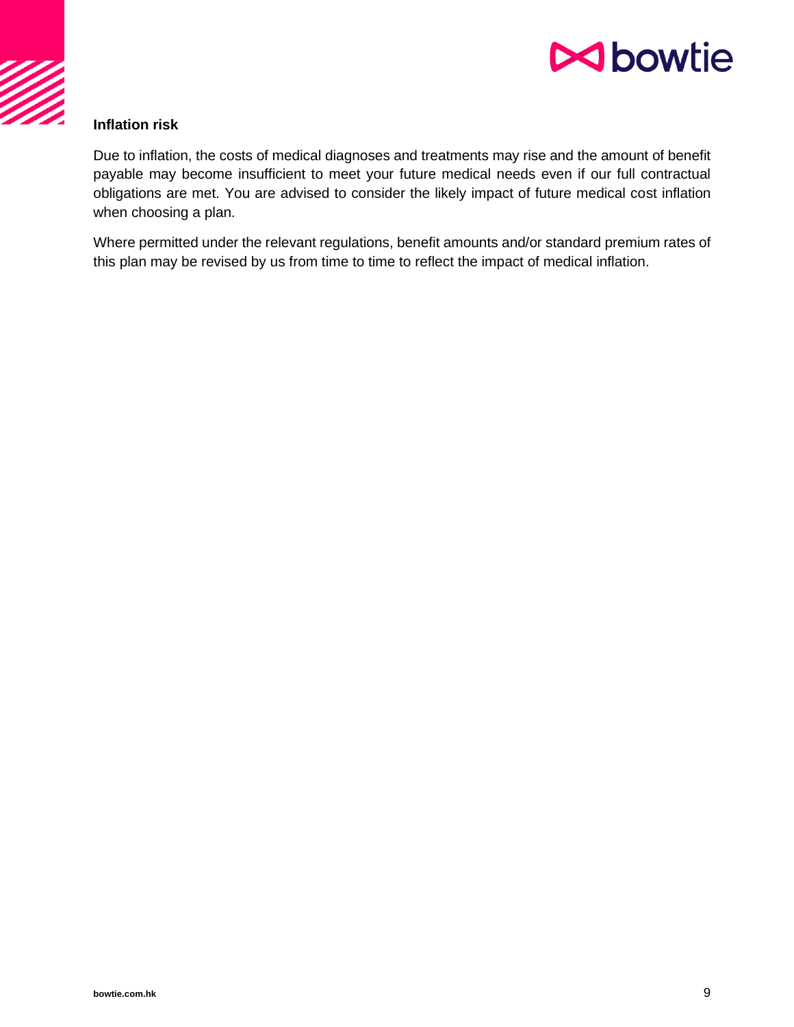

## **Inflation risk**

Due to inflation, the costs of medical diagnoses and treatments may rise and the amount of benefit payable may become insufficient to meet your future medical needs even if our full contractual obligations are met. You are advised to consider the likely impact of future medical cost inflation when choosing a plan.

Where permitted under the relevant regulations, benefit amounts and/or standard premium rates of this plan may be revised by us from time to time to reflect the impact of medical inflation.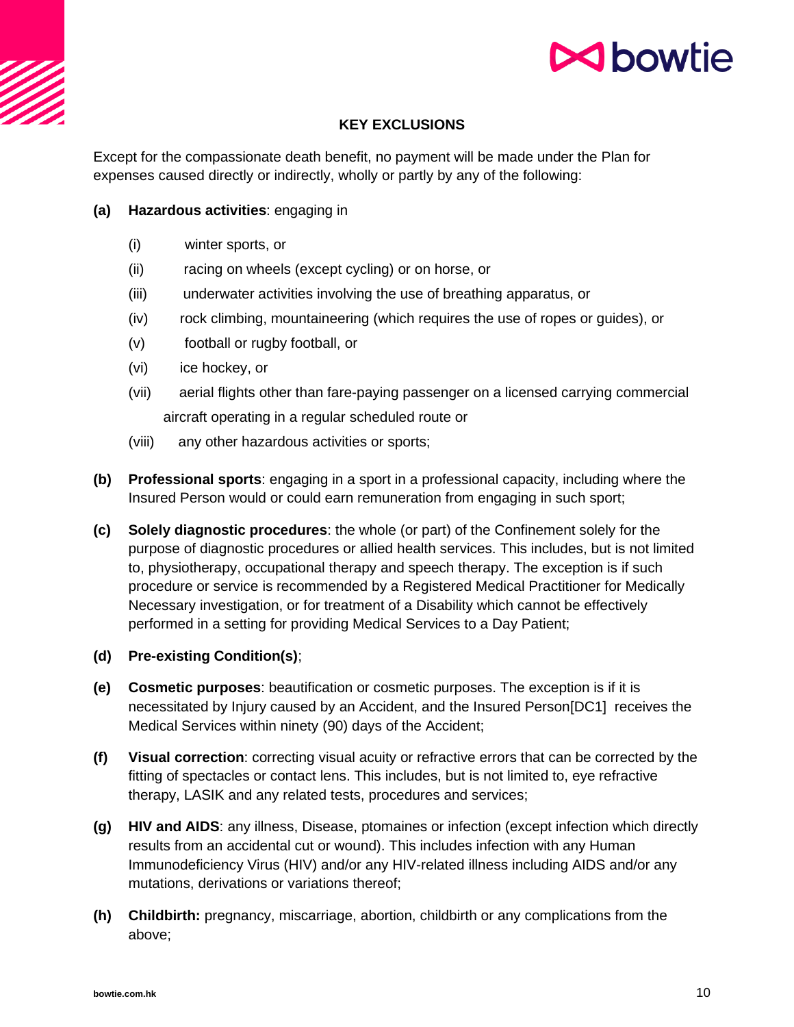

## **KEY EXCLUSIONS**

Except for the compassionate death benefit, no payment will be made under the Plan for expenses caused directly or indirectly, wholly or partly by any of the following:

## **(a) Hazardous activities**: engaging in

- (i) winter sports, or
- (ii) racing on wheels (except cycling) or on horse, or
- (iii) underwater activities involving the use of breathing apparatus, or
- (iv) rock climbing, mountaineering (which requires the use of ropes or guides), or
- (v) football or rugby football, or
- (vi) ice hockey, or
- (vii) aerial flights other than fare-paying passenger on a licensed carrying commercial aircraft operating in a regular scheduled route or
- (viii) any other hazardous activities or sports;
- **(b) Professional sports**: engaging in a sport in a professional capacity, including where the Insured Person would or could earn remuneration from engaging in such sport;
- **(c) Solely diagnostic procedures**: the whole (or part) of the Confinement solely for the purpose of diagnostic procedures or allied health services. This includes, but is not limited to, physiotherapy, occupational therapy and speech therapy. The exception is if such procedure or service is recommended by a Registered Medical Practitioner for Medically Necessary investigation, or for treatment of a Disability which cannot be effectively performed in a setting for providing Medical Services to a Day Patient;
- **(d) Pre-existing Condition(s)**;
- **(e) Cosmetic purposes**: beautification or cosmetic purposes. The exception is if it is necessitated by Injury caused by an Accident, and the Insured Person[DC1] receives the Medical Services within ninety (90) days of the Accident;
- **(f) Visual correction**: correcting visual acuity or refractive errors that can be corrected by the fitting of spectacles or contact lens. This includes, but is not limited to, eye refractive therapy, LASIK and any related tests, procedures and services;
- **(g) HIV and AIDS**: any illness, Disease, ptomaines or infection (except infection which directly results from an accidental cut or wound). This includes infection with any Human Immunodeficiency Virus (HIV) and/or any HIV-related illness including AIDS and/or any mutations, derivations or variations thereof;
- **(h) Childbirth:** pregnancy, miscarriage, abortion, childbirth or any complications from the above;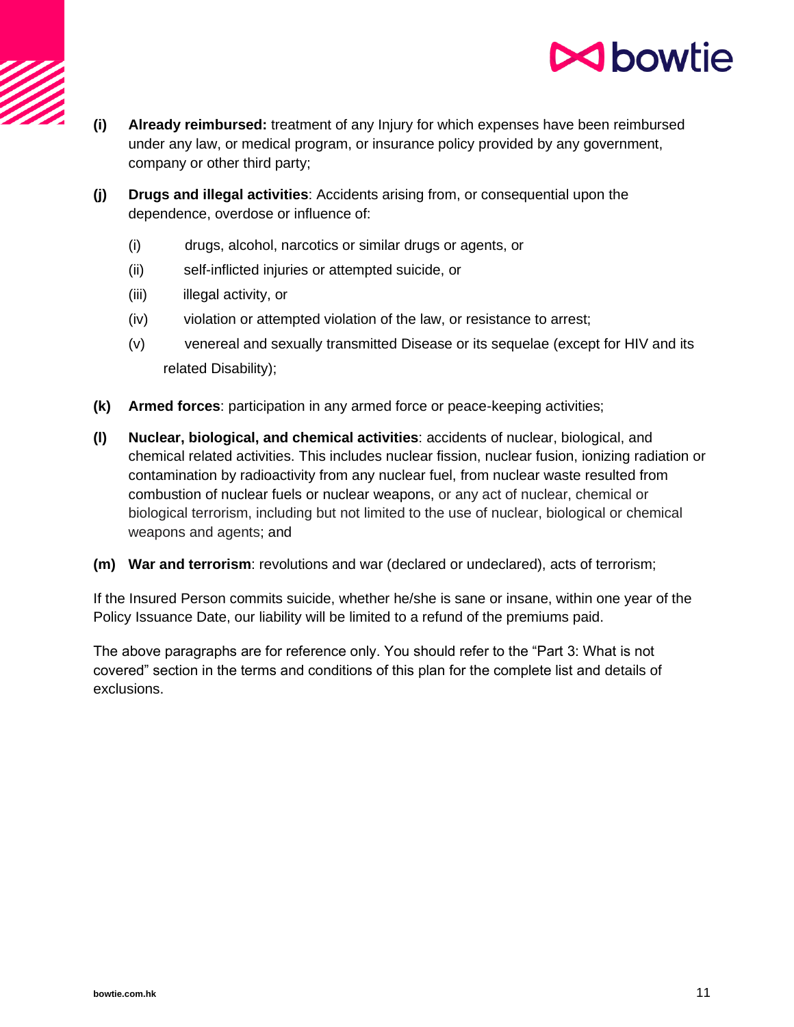

- **(i) Already reimbursed:** treatment of any Injury for which expenses have been reimbursed under any law, or medical program, or insurance policy provided by any government, company or other third party;
- **(j) Drugs and illegal activities**: Accidents arising from, or consequential upon the dependence, overdose or influence of:
	- (i) drugs, alcohol, narcotics or similar drugs or agents, or
	- (ii) self-inflicted injuries or attempted suicide, or
	- (iii) illegal activity, or
	- (iv) violation or attempted violation of the law, or resistance to arrest;
	- (v) venereal and sexually transmitted Disease or its sequelae (except for HIV and its related Disability);
- **(k) Armed forces**: participation in any armed force or peace-keeping activities;
- **(l) Nuclear, biological, and chemical activities**: accidents of nuclear, biological, and chemical related activities. This includes nuclear fission, nuclear fusion, ionizing radiation or contamination by radioactivity from any nuclear fuel, from nuclear waste resulted from combustion of nuclear fuels or nuclear weapons, or any act of nuclear, chemical or biological terrorism, including but not limited to the use of nuclear, biological or chemical weapons and agents; and
- **(m) War and terrorism**: revolutions and war (declared or undeclared), acts of terrorism;

If the Insured Person commits suicide, whether he/she is sane or insane, within one year of the Policy Issuance Date, our liability will be limited to a refund of the premiums paid.

The above paragraphs are for reference only. You should refer to the "Part 3: What is not covered" section in the terms and conditions of this plan for the complete list and details of exclusions.